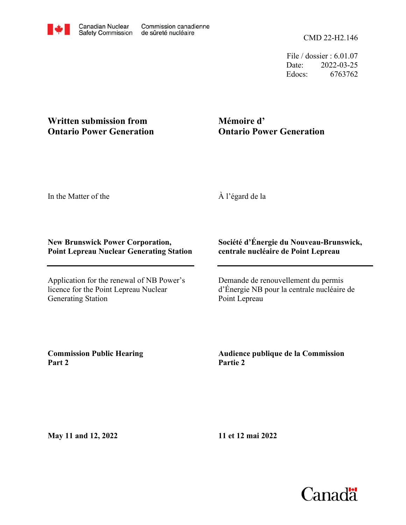File / dossier : 6.01.07 Date: 2022-03-25 Edocs: 6763762

## **Written submission from Ontario Power Generation**

# **Mémoire d' Ontario Power Generation**

In the Matter of the

À l'égard de la

#### **New Brunswick Power Corporation, Point Lepreau Nuclear Generating Station**

Application for the renewal of NB Power's licence for the Point Lepreau Nuclear Generating Station

### **Société d'Énergie du Nouveau-Brunswick, centrale nucléaire de Point Lepreau**

Demande de renouvellement du permis d'Énergie NB pour la centrale nucléaire de Point Lepreau

**Commission Public Hearing Part 2**

**Audience publique de la Commission Partie 2**

**May 11 and 12, 2022**

**11 et 12 mai 2022**

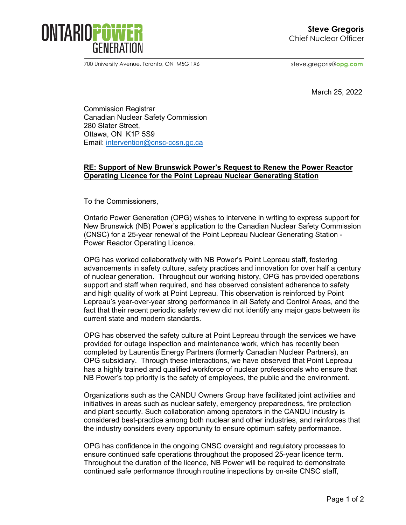

700 University Avenue, Toronto, ON M5G 1X6

steve.gregoris@**opg.com**

March 25, 2022

Commission Registrar Canadian Nuclear Safety Commission 280 Slater Street, Ottawa, ON K1P 5S9 Email: [intervention@cnsc-ccsn.gc.ca](mailto:intervention@cnsc-ccsn.gc.ca)

#### **RE: Support of New Brunswick Power's Request to Renew the Power Reactor Operating Licence for the Point Lepreau Nuclear Generating Station**

To the Commissioners,

Ontario Power Generation (OPG) wishes to intervene in writing to express support for New Brunswick (NB) Power's application to the Canadian Nuclear Safety Commission (CNSC) for a 25-year renewal of the Point Lepreau Nuclear Generating Station - Power Reactor Operating Licence.

OPG has worked collaboratively with NB Power's Point Lepreau staff, fostering advancements in safety culture, safety practices and innovation for over half a century of nuclear generation. Throughout our working history, OPG has provided operations support and staff when required, and has observed consistent adherence to safety and high quality of work at Point Lepreau. This observation is reinforced by Point Lepreau's year-over-year strong performance in all Safety and Control Areas, and the fact that their recent periodic safety review did not identify any major gaps between its current state and modern standards.

OPG has observed the safety culture at Point Lepreau through the services we have provided for outage inspection and maintenance work, which has recently been completed by Laurentis Energy Partners (formerly Canadian Nuclear Partners), an OPG subsidiary. Through these interactions, we have observed that Point Lepreau has a highly trained and qualified workforce of nuclear professionals who ensure that NB Power's top priority is the safety of employees, the public and the environment.

Organizations such as the CANDU Owners Group have facilitated joint activities and initiatives in areas such as nuclear safety, emergency preparedness, fire protection and plant security. Such collaboration among operators in the CANDU industry is considered best-practice among both nuclear and other industries, and reinforces that the industry considers every opportunity to ensure optimum safety performance.

OPG has confidence in the ongoing CNSC oversight and regulatory processes to ensure continued safe operations throughout the proposed 25-year licence term. Throughout the duration of the licence, NB Power will be required to demonstrate continued safe performance through routine inspections by on-site CNSC staff,